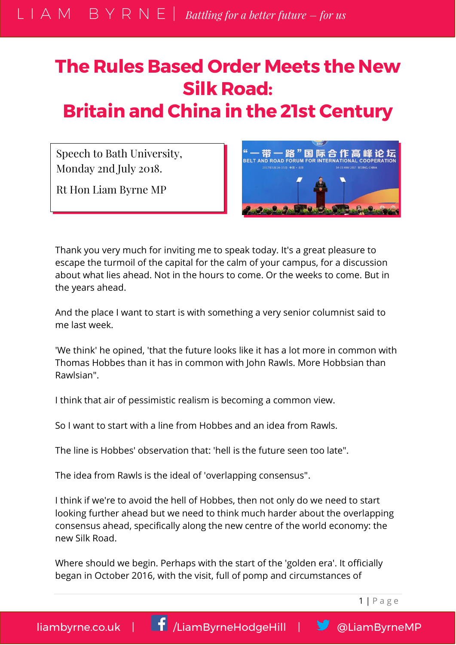## **The Rules Based Order Meets the New Silk Road: Britain and China in the 21st Century**

Speech to Bath University, Monday 2nd July 2018.

Rt Hon Liam Byrne MP



Thank you very much for inviting me to speak today. It's a great pleasure to escape the turmoil of the capital for the calm of your campus, for a discussion about what lies ahead. Not in the hours to come. Or the weeks to come. But in the years ahead.

And the place I want to start is with something a very senior columnist said to me last week.

'We think' he opined, 'that the future looks like it has a lot more in common with Thomas Hobbes than it has in common with John Rawls. More Hobbsian than Rawlsian".

I think that air of pessimistic realism is becoming a common view.

So I want to start with a line from Hobbes and an idea from Rawls.

The line is Hobbes' observation that: 'hell is the future seen too late".

The idea from Rawls is the ideal of 'overlapping consensus".

I think if we're to avoid the hell of Hobbes, then not only do we need to start looking further ahead but we need to think much harder about the overlapping consensus ahead, specifically along the new centre of the world economy: the new Silk Road.

Where should we begin. Perhaps with the start of the 'golden era'. It officially began in October 2016, with the visit, full of pomp and circumstances of

1 | P a g e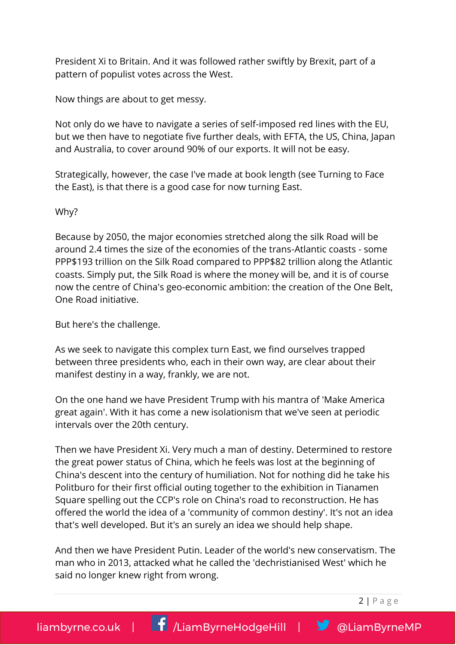President Xi to Britain. And it was followed rather swiftly by Brexit, part of a pattern of populist votes across the West.

Now things are about to get messy.

Not only do we have to navigate a series of self-imposed red lines with the EU, but we then have to negotiate five further deals, with EFTA, the US, China, Japan and Australia, to cover around 90% of our exports. It will not be easy.

Strategically, however, the case I've made at book length (see Turning to Face the East), is that there is a good case for now turning East.

## Why?

Because by 2050, the major economies stretched along the silk Road will be around 2.4 times the size of the economies of the trans-Atlantic coasts - some PPP\$193 trillion on the Silk Road compared to PPP\$82 trillion along the Atlantic coasts. Simply put, the Silk Road is where the money will be, and it is of course now the centre of China's geo-economic ambition: the creation of the One Belt, One Road initiative.

But here's the challenge.

As we seek to navigate this complex turn East, we find ourselves trapped between three presidents who, each in their own way, are clear about their manifest destiny in a way, frankly, we are not.

On the one hand we have President Trump with his mantra of 'Make America great again'. With it has come a new isolationism that we've seen at periodic intervals over the 20th century.

Then we have President Xi. Very much a man of destiny. Determined to restore the great power status of China, which he feels was lost at the beginning of China's descent into the century of humiliation. Not for nothing did he take his Politburo for their first official outing together to the exhibition in Tianamen Square spelling out the CCP's role on China's road to reconstruction. He has offered the world the idea of a 'community of common destiny'. It's not an idea that's well developed. But it's an surely an idea we should help shape.

And then we have President Putin. Leader of the world's new conservatism. The man who in 2013, attacked what he called the 'dechristianised West' which he said no longer knew right from wrong.

 $2 | P \text{ agree}$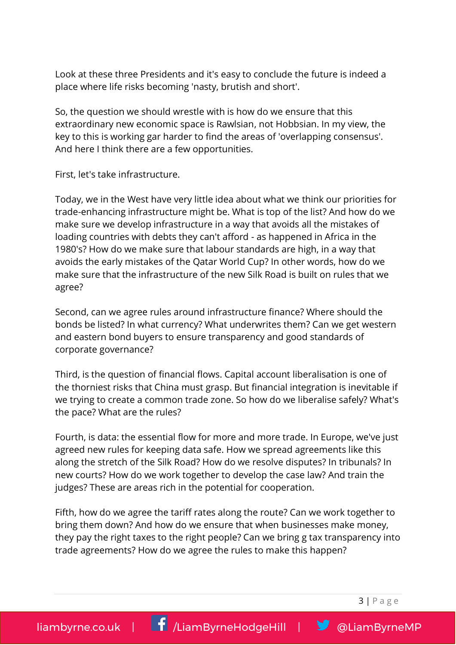Look at these three Presidents and it's easy to conclude the future is indeed a place where life risks becoming 'nasty, brutish and short'.

So, the question we should wrestle with is how do we ensure that this extraordinary new economic space is Rawlsian, not Hobbsian. In my view, the key to this is working gar harder to find the areas of 'overlapping consensus'. And here I think there are a few opportunities.

First, let's take infrastructure.

Today, we in the West have very little idea about what we think our priorities for trade-enhancing infrastructure might be. What is top of the list? And how do we make sure we develop infrastructure in a way that avoids all the mistakes of loading countries with debts they can't afford - as happened in Africa in the 1980's? How do we make sure that labour standards are high, in a way that avoids the early mistakes of the Qatar World Cup? In other words, how do we make sure that the infrastructure of the new Silk Road is built on rules that we agree?

Second, can we agree rules around infrastructure finance? Where should the bonds be listed? In what currency? What underwrites them? Can we get western and eastern bond buyers to ensure transparency and good standards of corporate governance?

Third, is the question of financial flows. Capital account liberalisation is one of the thorniest risks that China must grasp. But financial integration is inevitable if we trying to create a common trade zone. So how do we liberalise safely? What's the pace? What are the rules?

Fourth, is data: the essential flow for more and more trade. In Europe, we've just agreed new rules for keeping data safe. How we spread agreements like this along the stretch of the Silk Road? How do we resolve disputes? In tribunals? In new courts? How do we work together to develop the case law? And train the judges? These are areas rich in the potential for cooperation.

Fifth, how do we agree the tariff rates along the route? Can we work together to bring them down? And how do we ensure that when businesses make money, they pay the right taxes to the right people? Can we bring g tax transparency into trade agreements? How do we agree the rules to make this happen?

 $3 | P \text{ agree}$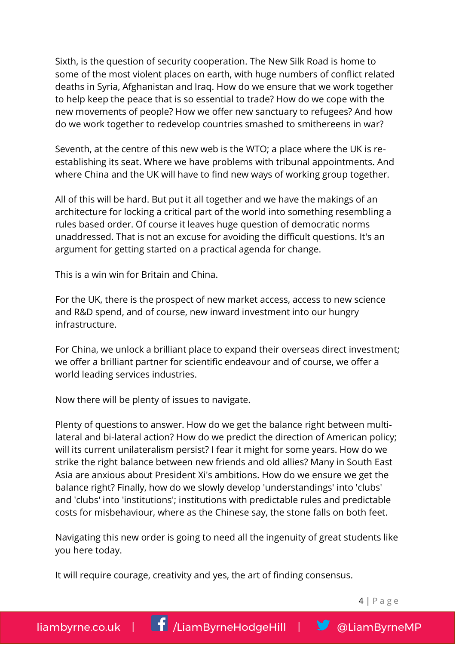Sixth, is the question of security cooperation. The New Silk Road is home to some of the most violent places on earth, with huge numbers of conflict related deaths in Syria, Afghanistan and Iraq. How do we ensure that we work together to help keep the peace that is so essential to trade? How do we cope with the new movements of people? How we offer new sanctuary to refugees? And how do we work together to redevelop countries smashed to smithereens in war?

Seventh, at the centre of this new web is the WTO; a place where the UK is reestablishing its seat. Where we have problems with tribunal appointments. And where China and the UK will have to find new ways of working group together.

All of this will be hard. But put it all together and we have the makings of an architecture for locking a critical part of the world into something resembling a rules based order. Of course it leaves huge question of democratic norms unaddressed. That is not an excuse for avoiding the difficult questions. It's an argument for getting started on a practical agenda for change.

This is a win win for Britain and China.

For the UK, there is the prospect of new market access, access to new science and R&D spend, and of course, new inward investment into our hungry infrastructure.

For China, we unlock a brilliant place to expand their overseas direct investment; we offer a brilliant partner for scientific endeavour and of course, we offer a world leading services industries.

Now there will be plenty of issues to navigate.

Plenty of questions to answer. How do we get the balance right between multilateral and bi-lateral action? How do we predict the direction of American policy; will its current unilateralism persist? I fear it might for some years. How do we strike the right balance between new friends and old allies? Many in South East Asia are anxious about President Xi's ambitions. How do we ensure we get the balance right? Finally, how do we slowly develop 'understandings' into 'clubs' and 'clubs' into 'institutions'; institutions with predictable rules and predictable costs for misbehaviour, where as the Chinese say, the stone falls on both feet.

Navigating this new order is going to need all the ingenuity of great students like you here today.

It will require courage, creativity and yes, the art of finding consensus.